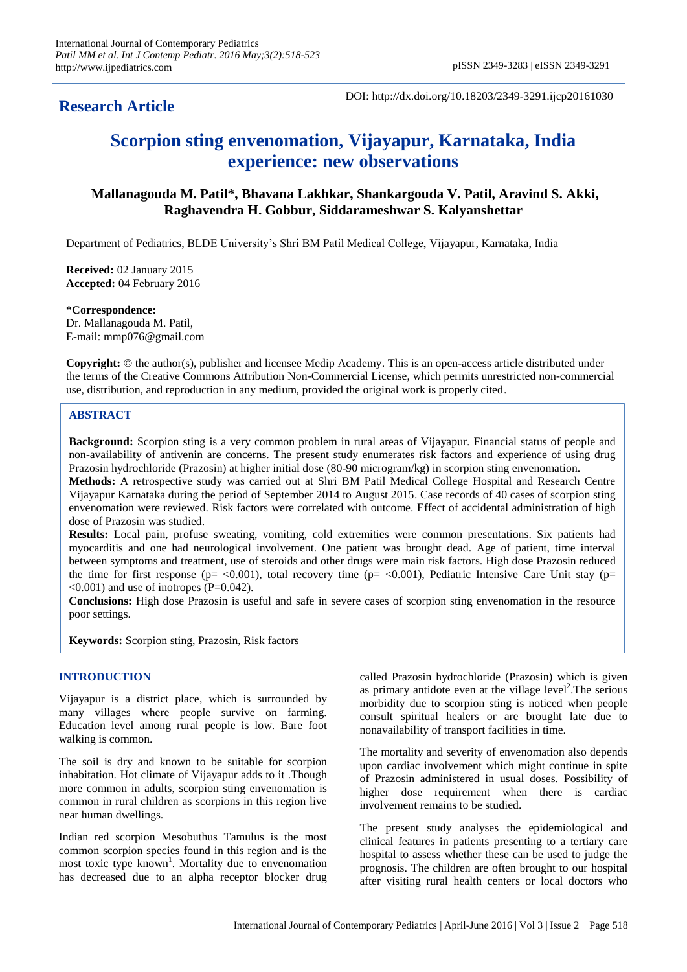# **Research Article**

DOI: http://dx.doi.org/10.18203/2349-3291.ijcp20161030

# **Scorpion sting envenomation, Vijayapur, Karnataka, India experience: new observations**

# **Mallanagouda M. Patil\*, Bhavana Lakhkar, Shankargouda V. Patil, Aravind S. Akki, Raghavendra H. Gobbur, Siddarameshwar S. Kalyanshettar**

Department of Pediatrics, BLDE University's Shri BM Patil Medical College, Vijayapur, Karnataka, India

**Received:** 02 January 2015 **Accepted:** 04 February 2016

**\*Correspondence:** Dr. Mallanagouda M. Patil, E-mail: mmp076@gmail.com

**Copyright:** © the author(s), publisher and licensee Medip Academy. This is an open-access article distributed under the terms of the Creative Commons Attribution Non-Commercial License, which permits unrestricted non-commercial use, distribution, and reproduction in any medium, provided the original work is properly cited.

# **ABSTRACT**

**Background:** Scorpion sting is a very common problem in rural areas of Vijayapur. Financial status of people and non-availability of antivenin are concerns. The present study enumerates risk factors and experience of using drug Prazosin hydrochloride (Prazosin) at higher initial dose (80-90 microgram/kg) in scorpion sting envenomation. **Methods:** A retrospective study was carried out at Shri BM Patil Medical College Hospital and Research Centre Vijayapur Karnataka during the period of September 2014 to August 2015. Case records of 40 cases of scorpion sting envenomation were reviewed. Risk factors were correlated with outcome. Effect of accidental administration of high dose of Prazosin was studied.

**Results:** Local pain, profuse sweating, vomiting, cold extremities were common presentations. Six patients had myocarditis and one had neurological involvement. One patient was brought dead. Age of patient, time interval between symptoms and treatment, use of steroids and other drugs were main risk factors. High dose Prazosin reduced the time for first response ( $p = <0.001$ ), total recovery time ( $p = <0.001$ ), Pediatric Intensive Care Unit stay ( $p=$  $\leq 0.001$ ) and use of inotropes (P=0.042).

**Conclusions:** High dose Prazosin is useful and safe in severe cases of scorpion sting envenomation in the resource poor settings.

**Keywords:** Scorpion sting, Prazosin, Risk factors

# **INTRODUCTION**

Vijayapur is a district place, which is surrounded by many villages where people survive on farming. Education level among rural people is low. Bare foot walking is common.

The soil is dry and known to be suitable for scorpion inhabitation. Hot climate of Vijayapur adds to it .Though more common in adults, scorpion sting envenomation is common in rural children as scorpions in this region live near human dwellings.

Indian red scorpion Mesobuthus Tamulus is the most common scorpion species found in this region and is the most toxic type  $k_{\text{now}}$ <sup>1</sup>. Mortality due to envenomation has decreased due to an alpha receptor blocker drug called Prazosin hydrochloride (Prazosin) which is given as primary antidote even at the village level<sup>2</sup>. The serious morbidity due to scorpion sting is noticed when people consult spiritual healers or are brought late due to nonavailability of transport facilities in time.

The mortality and severity of envenomation also depends upon cardiac involvement which might continue in spite of Prazosin administered in usual doses. Possibility of higher dose requirement when there is cardiac involvement remains to be studied.

The present study analyses the epidemiological and clinical features in patients presenting to a tertiary care hospital to assess whether these can be used to judge the prognosis. The children are often brought to our hospital after visiting rural health centers or local doctors who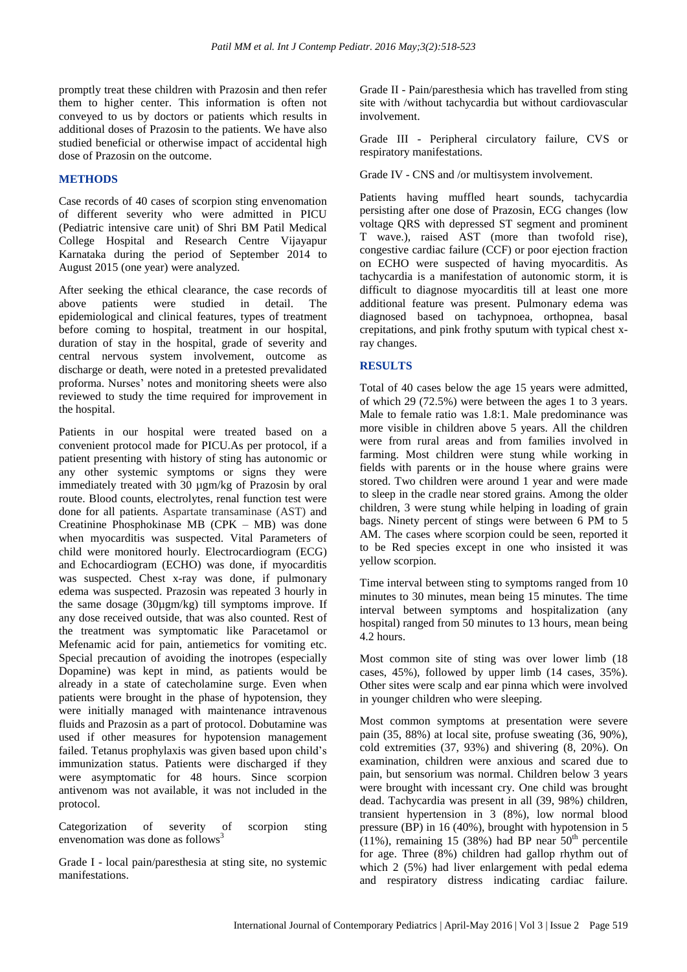promptly treat these children with Prazosin and then refer them to higher center. This information is often not conveyed to us by doctors or patients which results in additional doses of Prazosin to the patients. We have also studied beneficial or otherwise impact of accidental high dose of Prazosin on the outcome.

# **METHODS**

Case records of 40 cases of scorpion sting envenomation of different severity who were admitted in PICU (Pediatric intensive care unit) of Shri BM Patil Medical College Hospital and Research Centre Vijayapur Karnataka during the period of September 2014 to August 2015 (one year) were analyzed.

After seeking the ethical clearance, the case records of above patients were studied in detail. The epidemiological and clinical features, types of treatment before coming to hospital, treatment in our hospital, duration of stay in the hospital, grade of severity and central nervous system involvement, outcome as discharge or death, were noted in a pretested prevalidated proforma. Nurses' notes and monitoring sheets were also reviewed to study the time required for improvement in the hospital.

Patients in our hospital were treated based on a convenient protocol made for PICU.As per protocol, if a patient presenting with history of sting has autonomic or any other systemic symptoms or signs they were immediately treated with 30 µgm/kg of Prazosin by oral route. Blood counts, electrolytes, renal function test were done for all patients. Aspartate transaminase (AST) and Creatinine Phosphokinase MB (CPK – MB) was done when myocarditis was suspected. Vital Parameters of child were monitored hourly. Electrocardiogram (ECG) and Echocardiogram (ECHO) was done, if myocarditis was suspected. Chest x-ray was done, if pulmonary edema was suspected. Prazosin was repeated 3 hourly in the same dosage (30µgm/kg) till symptoms improve. If any dose received outside, that was also counted. Rest of the treatment was symptomatic like Paracetamol or Mefenamic acid for pain, antiemetics for vomiting etc. Special precaution of avoiding the inotropes (especially Dopamine) was kept in mind, as patients would be already in a state of catecholamine surge. Even when patients were brought in the phase of hypotension, they were initially managed with maintenance intravenous fluids and Prazosin as a part of protocol. Dobutamine was used if other measures for hypotension management failed. Tetanus prophylaxis was given based upon child's immunization status. Patients were discharged if they were asymptomatic for 48 hours. Since scorpion antivenom was not available, it was not included in the protocol.

Categorization of severity of scorpion sting envenomation was done as follows $3$ 

Grade I - local pain/paresthesia at sting site, no systemic manifestations.

Grade II - Pain/paresthesia which has travelled from sting site with /without tachycardia but without cardiovascular involvement.

Grade III - Peripheral circulatory failure, CVS or respiratory manifestations.

Grade IV - CNS and /or multisystem involvement.

Patients having muffled heart sounds, tachycardia persisting after one dose of Prazosin, ECG changes (low voltage QRS with depressed ST segment and prominent T wave.), raised AST (more than twofold rise), congestive cardiac failure (CCF) or poor ejection fraction on ECHO were suspected of having myocarditis. As tachycardia is a manifestation of autonomic storm, it is difficult to diagnose myocarditis till at least one more additional feature was present. Pulmonary edema was diagnosed based on tachypnoea, orthopnea, basal crepitations, and pink frothy sputum with typical chest xray changes.

# **RESULTS**

Total of 40 cases below the age 15 years were admitted, of which 29 (72.5%) were between the ages 1 to 3 years. Male to female ratio was 1.8:1. Male predominance was more visible in children above 5 years. All the children were from rural areas and from families involved in farming. Most children were stung while working in fields with parents or in the house where grains were stored. Two children were around 1 year and were made to sleep in the cradle near stored grains. Among the older children, 3 were stung while helping in loading of grain bags. Ninety percent of stings were between 6 PM to 5 AM. The cases where scorpion could be seen, reported it to be Red species except in one who insisted it was yellow scorpion.

Time interval between sting to symptoms ranged from 10 minutes to 30 minutes, mean being 15 minutes. The time interval between symptoms and hospitalization (any hospital) ranged from 50 minutes to 13 hours, mean being 4.2 hours.

Most common site of sting was over lower limb (18 cases, 45%), followed by upper limb (14 cases, 35%). Other sites were scalp and ear pinna which were involved in younger children who were sleeping.

Most common symptoms at presentation were severe pain (35, 88%) at local site, profuse sweating (36, 90%), cold extremities (37, 93%) and shivering (8, 20%). On examination, children were anxious and scared due to pain, but sensorium was normal. Children below 3 years were brought with incessant cry. One child was brought dead. Tachycardia was present in all (39, 98%) children, transient hypertension in 3 (8%), low normal blood pressure (BP) in 16 (40%), brought with hypotension in 5  $(11\%)$ , remaining 15 (38%) had BP near  $50<sup>th</sup>$  percentile for age. Three (8%) children had gallop rhythm out of which 2 (5%) had liver enlargement with pedal edema and respiratory distress indicating cardiac failure.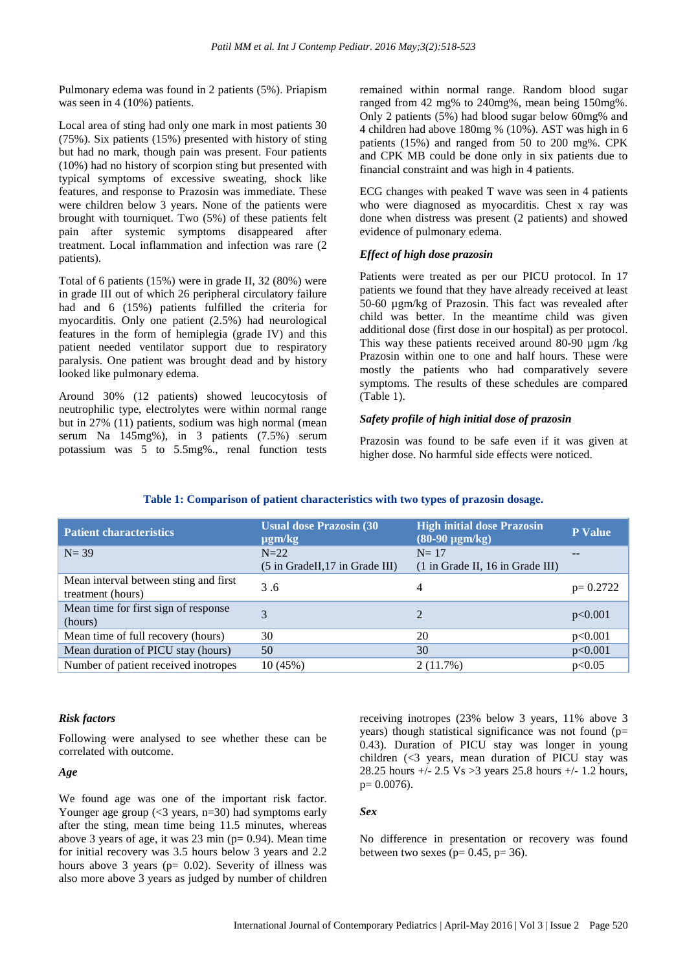Pulmonary edema was found in 2 patients (5%). Priapism was seen in 4 (10%) patients.

Local area of sting had only one mark in most patients 30 (75%). Six patients (15%) presented with history of sting but had no mark, though pain was present. Four patients (10%) had no history of scorpion sting but presented with typical symptoms of excessive sweating, shock like features, and response to Prazosin was immediate. These were children below 3 years. None of the patients were brought with tourniquet. Two (5%) of these patients felt pain after systemic symptoms disappeared after treatment. Local inflammation and infection was rare (2 patients).

Total of 6 patients (15%) were in grade II, 32 (80%) were in grade III out of which 26 peripheral circulatory failure had and 6 (15%) patients fulfilled the criteria for myocarditis. Only one patient (2.5%) had neurological features in the form of hemiplegia (grade IV) and this patient needed ventilator support due to respiratory paralysis. One patient was brought dead and by history looked like pulmonary edema.

Around 30% (12 patients) showed leucocytosis of neutrophilic type, electrolytes were within normal range but in 27% (11) patients, sodium was high normal (mean serum Na 145mg%), in 3 patients (7.5%) serum potassium was 5 to 5.5mg%., renal function tests remained within normal range. Random blood sugar ranged from 42 mg% to 240mg%, mean being 150mg%. Only 2 patients (5%) had blood sugar below 60mg% and 4 children had above 180mg % (10%). AST was high in 6 patients (15%) and ranged from 50 to 200 mg%. CPK and CPK MB could be done only in six patients due to financial constraint and was high in 4 patients.

ECG changes with peaked T wave was seen in 4 patients who were diagnosed as myocarditis. Chest x ray was done when distress was present (2 patients) and showed evidence of pulmonary edema.

#### *Effect of high dose prazosin*

Patients were treated as per our PICU protocol. In 17 patients we found that they have already received at least 50-60 µgm/kg of Prazosin. This fact was revealed after child was better. In the meantime child was given additional dose (first dose in our hospital) as per protocol. This way these patients received around 80-90 µgm /kg Prazosin within one to one and half hours. These were mostly the patients who had comparatively severe symptoms. The results of these schedules are compared (Table 1).

#### *Safety profile of high initial dose of prazosin*

Prazosin was found to be safe even if it was given at higher dose. No harmful side effects were noticed.

## **Table 1: Comparison of patient characteristics with two types of prazosin dosage.**

| <b>Patient characteristics</b>                             | <b>Usual dose Prazosin (30)</b><br>$\mu$ gm/kg            | <b>High initial dose Prazosin</b><br>$(80-90 \mu g m/kg)$    | <b>P</b> Value |
|------------------------------------------------------------|-----------------------------------------------------------|--------------------------------------------------------------|----------------|
| $N = 39$                                                   | $N=22$<br>$(5 \text{ in Gradell}, 17 \text{ in Gradell})$ | $N=17$<br>$(1 \text{ in Grade II}, 16 \text{ in Grade III})$ |                |
| Mean interval between sting and first<br>treatment (hours) | 3.6                                                       | 4                                                            | $p=0.2722$     |
| Mean time for first sign of response<br>(hours)            | 3                                                         | $\mathcal{D}_{\mathcal{L}}$                                  | p<0.001        |
| Mean time of full recovery (hours)                         | 30                                                        | 20                                                           | p<0.001        |
| Mean duration of PICU stay (hours)                         | 50                                                        | 30                                                           | p<0.001        |
| Number of patient received inotropes                       | 10(45%)                                                   | $2(11.7\%)$                                                  | p<0.05         |

# *Risk factors*

Following were analysed to see whether these can be correlated with outcome.

#### *Age*

We found age was one of the important risk factor. Younger age group (<3 years, n=30) had symptoms early after the sting, mean time being 11.5 minutes, whereas above 3 years of age, it was 23 min ( $p= 0.94$ ). Mean time for initial recovery was 3.5 hours below 3 years and 2.2 hours above 3 years ( $p= 0.02$ ). Severity of illness was also more above 3 years as judged by number of children receiving inotropes (23% below 3 years, 11% above 3 years) though statistical significance was not found (p= 0.43). Duration of PICU stay was longer in young children  $\langle \langle 3 \rangle$  years, mean duration of PICU stay was 28.25 hours +/- 2.5 Vs >3 years 25.8 hours +/- 1.2 hours,  $p= 0.0076$ ).

# *Sex*

No difference in presentation or recovery was found between two sexes ( $p= 0.45$ ,  $p= 36$ ).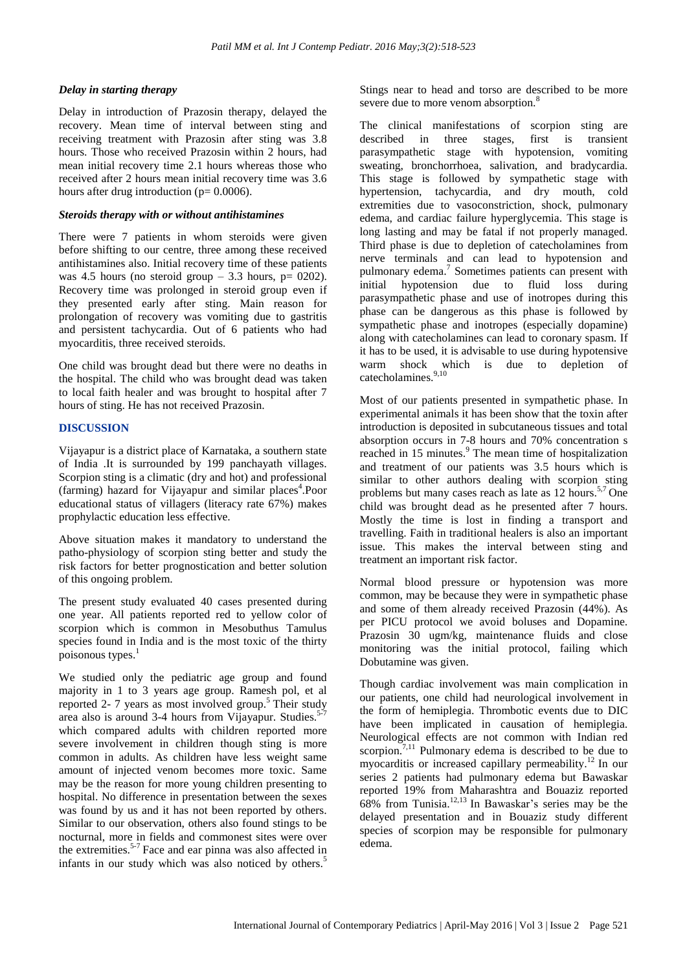#### *Delay in starting therapy*

Delay in introduction of Prazosin therapy, delayed the recovery. Mean time of interval between sting and receiving treatment with Prazosin after sting was 3.8 hours. Those who received Prazosin within 2 hours, had mean initial recovery time 2.1 hours whereas those who received after 2 hours mean initial recovery time was 3.6 hours after drug introduction ( $p= 0.0006$ ).

#### *Steroids therapy with or without antihistamines*

There were 7 patients in whom steroids were given before shifting to our centre, three among these received antihistamines also. Initial recovery time of these patients was 4.5 hours (no steroid group  $-3.3$  hours, p= 0202). Recovery time was prolonged in steroid group even if they presented early after sting. Main reason for prolongation of recovery was vomiting due to gastritis and persistent tachycardia. Out of 6 patients who had myocarditis, three received steroids.

One child was brought dead but there were no deaths in the hospital. The child who was brought dead was taken to local faith healer and was brought to hospital after 7 hours of sting. He has not received Prazosin.

## **DISCUSSION**

Vijayapur is a district place of Karnataka, a southern state of India .It is surrounded by 199 panchayath villages. Scorpion sting is a climatic (dry and hot) and professional (farming) hazard for Vijayapur and similar places<sup>4</sup>.Poor educational status of villagers (literacy rate 67%) makes prophylactic education less effective.

Above situation makes it mandatory to understand the patho-physiology of scorpion sting better and study the risk factors for better prognostication and better solution of this ongoing problem.

The present study evaluated 40 cases presented during one year. All patients reported red to yellow color of scorpion which is common in Mesobuthus Tamulus species found in India and is the most toxic of the thirty poisonous types. 1

We studied only the pediatric age group and found majority in 1 to 3 years age group. Ramesh pol, et al reported 2- 7 years as most involved group. <sup>5</sup> Their study area also is around 3-4 hours from Vijayapur. Studies.<sup>5-7</sup> which compared adults with children reported more severe involvement in children though sting is more common in adults. As children have less weight same amount of injected venom becomes more toxic. Same may be the reason for more young children presenting to hospital. No difference in presentation between the sexes was found by us and it has not been reported by others. Similar to our observation, others also found stings to be nocturnal, more in fields and commonest sites were over the extremities.<sup>5-7</sup> Face and ear pinna was also affected in infants in our study which was also noticed by others. 5

Stings near to head and torso are described to be more severe due to more venom absorption.<sup>8</sup>

The clinical manifestations of scorpion sting are described in three stages, first is transient parasympathetic stage with hypotension, vomiting sweating, bronchorrhoea, salivation, and bradycardia. This stage is followed by sympathetic stage with hypertension, tachycardia, and dry mouth, cold extremities due to vasoconstriction, shock, pulmonary edema, and cardiac failure hyperglycemia. This stage is long lasting and may be fatal if not properly managed. Third phase is due to depletion of catecholamines from nerve terminals and can lead to hypotension and pulmonary edema. 7 Sometimes patients can present with initial hypotension due to fluid loss during parasympathetic phase and use of inotropes during this phase can be dangerous as this phase is followed by sympathetic phase and inotropes (especially dopamine) along with catecholamines can lead to coronary spasm. If it has to be used, it is advisable to use during hypotensive warm shock which is due to depletion of catecholamines. 9,10

Most of our patients presented in sympathetic phase. In experimental animals it has been show that the toxin after introduction is deposited in subcutaneous tissues and total absorption occurs in 7-8 hours and 70% concentration s reached in 15 minutes. <sup>9</sup> The mean time of hospitalization and treatment of our patients was 3.5 hours which is similar to other authors dealing with scorpion sting problems but many cases reach as late as 12 hours.<sup>5,7</sup> One child was brought dead as he presented after 7 hours. Mostly the time is lost in finding a transport and travelling. Faith in traditional healers is also an important issue. This makes the interval between sting and treatment an important risk factor.

Normal blood pressure or hypotension was more common, may be because they were in sympathetic phase and some of them already received Prazosin (44%). As per PICU protocol we avoid boluses and Dopamine. Prazosin 30 ugm/kg, maintenance fluids and close monitoring was the initial protocol, failing which Dobutamine was given.

Though cardiac involvement was main complication in our patients, one child had neurological involvement in the form of hemiplegia. Thrombotic events due to DIC have been implicated in causation of hemiplegia. Neurological effects are not common with Indian red scorpion.<sup>7,11</sup> Pulmonary edema is described to be due to myocarditis or increased capillary permeability. <sup>12</sup> In our series 2 patients had pulmonary edema but Bawaskar reported 19% from Maharashtra and Bouaziz reported 68% from Tunisia. 12,13 In Bawaskar's series may be the delayed presentation and in Bouaziz study different species of scorpion may be responsible for pulmonary edema.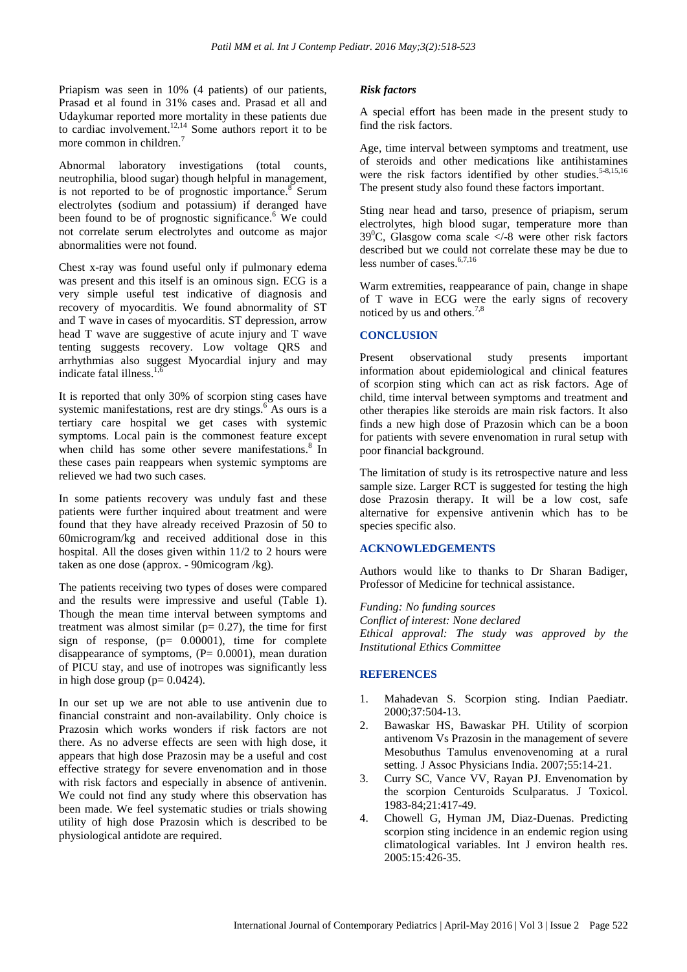Priapism was seen in 10% (4 patients) of our patients, Prasad et al found in 31% cases and. Prasad et all and Udaykumar reported more mortality in these patients due to cardiac involvement. 12,14 Some authors report it to be more common in children. 7

Abnormal laboratory investigations (total counts, neutrophilia, blood sugar) though helpful in management, is not reported to be of prognostic importance.<sup>8</sup> Serum electrolytes (sodium and potassium) if deranged have been found to be of prognostic significance.<sup>6</sup> We could not correlate serum electrolytes and outcome as major abnormalities were not found.

Chest x-ray was found useful only if pulmonary edema was present and this itself is an ominous sign. ECG is a very simple useful test indicative of diagnosis and recovery of myocarditis. We found abnormality of ST and T wave in cases of myocarditis. ST depression, arrow head T wave are suggestive of acute injury and T wave tenting suggests recovery. Low voltage QRS and arrhythmias also suggest Myocardial injury and may indicate fatal illness.<sup>1,6</sup>

It is reported that only 30% of scorpion sting cases have systemic manifestations, rest are dry stings.<sup>6</sup> As ours is a tertiary care hospital we get cases with systemic symptoms. Local pain is the commonest feature except when child has some other severe manifestations.<sup>8</sup> In these cases pain reappears when systemic symptoms are relieved we had two such cases.

In some patients recovery was unduly fast and these patients were further inquired about treatment and were found that they have already received Prazosin of 50 to 60microgram/kg and received additional dose in this hospital. All the doses given within 11/2 to 2 hours were taken as one dose (approx. - 90micogram /kg).

The patients receiving two types of doses were compared and the results were impressive and useful (Table 1). Though the mean time interval between symptoms and treatment was almost similar ( $p= 0.27$ ), the time for first sign of response,  $(p= 0.00001)$ , time for complete disappearance of symptoms,  $(P= 0.0001)$ , mean duration of PICU stay, and use of inotropes was significantly less in high dose group ( $p = 0.0424$ ).

In our set up we are not able to use antivenin due to financial constraint and non-availability. Only choice is Prazosin which works wonders if risk factors are not there. As no adverse effects are seen with high dose, it appears that high dose Prazosin may be a useful and cost effective strategy for severe envenomation and in those with risk factors and especially in absence of antivenin. We could not find any study where this observation has been made. We feel systematic studies or trials showing utility of high dose Prazosin which is described to be physiological antidote are required.

#### *Risk factors*

A special effort has been made in the present study to find the risk factors.

Age, time interval between symptoms and treatment, use of steroids and other medications like antihistamines were the risk factors identified by other studies.<sup>5-8,15,16</sup> The present study also found these factors important.

Sting near head and tarso, presence of priapism, serum electrolytes, high blood sugar, temperature more than  $39^{\circ}$ C, Glasgow coma scale  $\lt$  -8 were other risk factors described but we could not correlate these may be due to less number of cases  $6,7,16$ 

Warm extremities, reappearance of pain, change in shape of T wave in ECG were the early signs of recovery noticed by us and others. 7,8

#### **CONCLUSION**

Present observational study presents important information about epidemiological and clinical features of scorpion sting which can act as risk factors. Age of child, time interval between symptoms and treatment and other therapies like steroids are main risk factors. It also finds a new high dose of Prazosin which can be a boon for patients with severe envenomation in rural setup with poor financial background.

The limitation of study is its retrospective nature and less sample size. Larger RCT is suggested for testing the high dose Prazosin therapy. It will be a low cost, safe alternative for expensive antivenin which has to be species specific also.

#### **ACKNOWLEDGEMENTS**

Authors would like to thanks to Dr Sharan Badiger, Professor of Medicine for technical assistance.

*Funding: No funding sources Conflict of interest: None declared Ethical approval: The study was approved by the Institutional Ethics Committee*

# **REFERENCES**

- 1. Mahadevan S. Scorpion sting. Indian Paediatr. 2000;37:504-13.
- 2. Bawaskar HS, Bawaskar PH. Utility of scorpion antivenom Vs Prazosin in the management of severe Mesobuthus Tamulus envenovenoming at a rural setting. J Assoc Physicians India. 2007;55:14-21.
- 3. Curry SC, Vance VV, Rayan PJ. Envenomation by the scorpion Centuroids Sculparatus. J Toxicol. 1983-84;21:417-49.
- 4. Chowell G, Hyman JM, Diaz-Duenas. Predicting scorpion sting incidence in an endemic region using climatological variables. Int J environ health res. 2005:15:426-35.